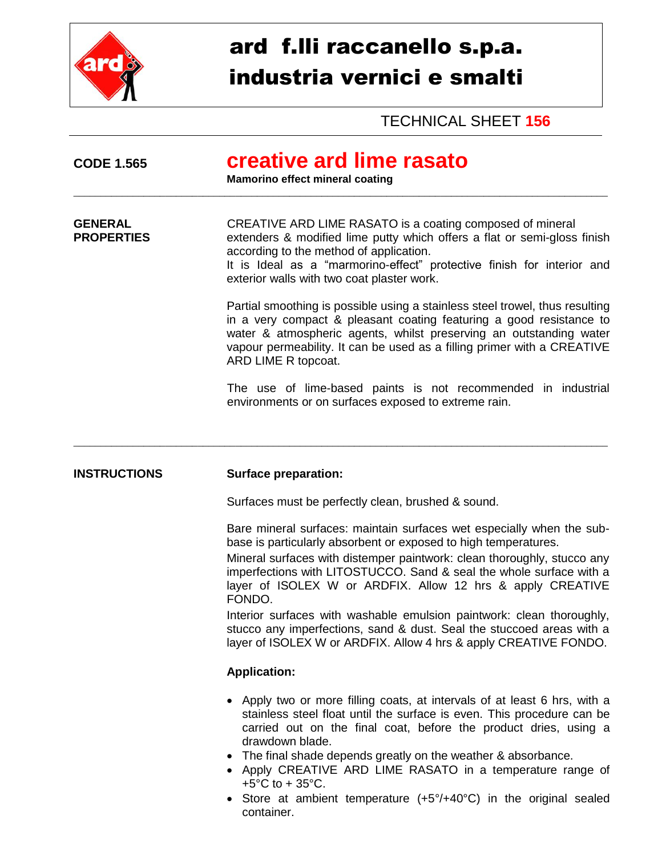

## ard f.lli raccanello s.p.a. industria vernici e smalti

TECHNICAL SHEET **156**

| <b>CODE 1.565</b>                   | creative ard lime rasato<br><b>Mamorino effect mineral coating</b>                                                                                                                                                                                                                                                                                                                                                                                                                                                                                                                       |
|-------------------------------------|------------------------------------------------------------------------------------------------------------------------------------------------------------------------------------------------------------------------------------------------------------------------------------------------------------------------------------------------------------------------------------------------------------------------------------------------------------------------------------------------------------------------------------------------------------------------------------------|
| <b>GENERAL</b><br><b>PROPERTIES</b> | CREATIVE ARD LIME RASATO is a coating composed of mineral<br>extenders & modified lime putty which offers a flat or semi-gloss finish<br>according to the method of application.<br>It is Ideal as a "marmorino-effect" protective finish for interior and<br>exterior walls with two coat plaster work.                                                                                                                                                                                                                                                                                 |
|                                     | Partial smoothing is possible using a stainless steel trowel, thus resulting<br>in a very compact & pleasant coating featuring a good resistance to<br>water & atmospheric agents, whilst preserving an outstanding water<br>vapour permeability. It can be used as a filling primer with a CREATIVE<br>ARD LIME R topcoat.                                                                                                                                                                                                                                                              |
|                                     | The use of lime-based paints is not recommended in industrial<br>environments or on surfaces exposed to extreme rain.                                                                                                                                                                                                                                                                                                                                                                                                                                                                    |
| <b>INSTRUCTIONS</b>                 | <b>Surface preparation:</b>                                                                                                                                                                                                                                                                                                                                                                                                                                                                                                                                                              |
|                                     | Surfaces must be perfectly clean, brushed & sound.                                                                                                                                                                                                                                                                                                                                                                                                                                                                                                                                       |
|                                     | Bare mineral surfaces: maintain surfaces wet especially when the sub-<br>base is particularly absorbent or exposed to high temperatures.<br>Mineral surfaces with distemper paintwork: clean thoroughly, stucco any<br>imperfections with LITOSTUCCO. Sand & seal the whole surface with a<br>layer of ISOLEX W or ARDFIX. Allow 12 hrs & apply CREATIVE<br>FONDO.<br>Interior surfaces with washable emulsion paintwork: clean thoroughly,<br>stucco any imperfections, sand & dust. Seal the stuccoed areas with a<br>layer of ISOLEX W or ARDFIX. Allow 4 hrs & apply CREATIVE FONDO. |
|                                     | <b>Application:</b>                                                                                                                                                                                                                                                                                                                                                                                                                                                                                                                                                                      |
|                                     | • Apply two or more filling coats, at intervals of at least 6 hrs, with a<br>stainless steel float until the surface is even. This procedure can be<br>carried out on the final coat, before the product dries, using a<br>drawdown blade.<br>• The final shade depends greatly on the weather & absorbance.<br>• Apply CREATIVE ARD LIME RASATO in a temperature range of<br>+5 $^{\circ}$ C to + 35 $^{\circ}$ C.<br>Store at ambient temperature $(L5^{\circ}/L10^{\circ}C)$ in the original sealed                                                                                   |

 Store at ambient temperature (+5°/+40°C) in the original sealed container.